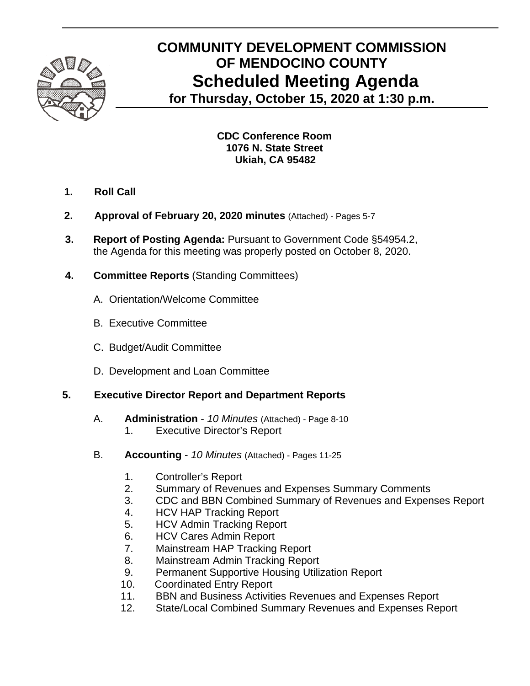

# **COMMUNITY DEVELOPMENT COMMISSION OF MENDOCINO COUNTY Scheduled Meeting Agenda for Thursday, October 15, 2020 at 1:30 p.m.**

**CDC Conference Room 1076 N. State Street** 

**Ukiah, CA 95482** 

- **1. Roll Call**
- **2. Approval of February 20, 2020 minutes** (Attached) Pages 5-7
- **3. Report of Posting Agenda:** Pursuant to Government Code §54954.2, the Agenda for this meeting was properly posted on October 8, 2020.
- **4. Committee Reports** (Standing Committees)
	- A.Orientation/Welcome Committee
	- B. Executive Committee
	- C. Budget/Audit Committee
	- D. Development and Loan Committee

#### **5. Executive Director Report and Department Reports**

- A. **Administration** *10 Minutes* (Attached) Page 8-10
	- 1. Executive Director's Report
- B. **Accounting** *10 Minutes* (Attached) Pages 11-25
	- 1. Controller's Report
	- 2. Summary of Revenues and Expenses Summary Comments
	- 3. CDC and BBN Combined Summary of Revenues and Expenses Report
	- 4. HCV HAP Tracking Report
	- 5. HCV Admin Tracking Report
	- 6. HCV Cares Admin Report
	- 7. Mainstream HAP Tracking Report
	- 8. Mainstream Admin Tracking Report
	- 9. Permanent Supportive Housing Utilization Report
	- 10. Coordinated Entry Report
	- 11. BBN and Business Activities Revenues and Expenses Report
	- 12. State/Local Combined Summary Revenues and Expenses Report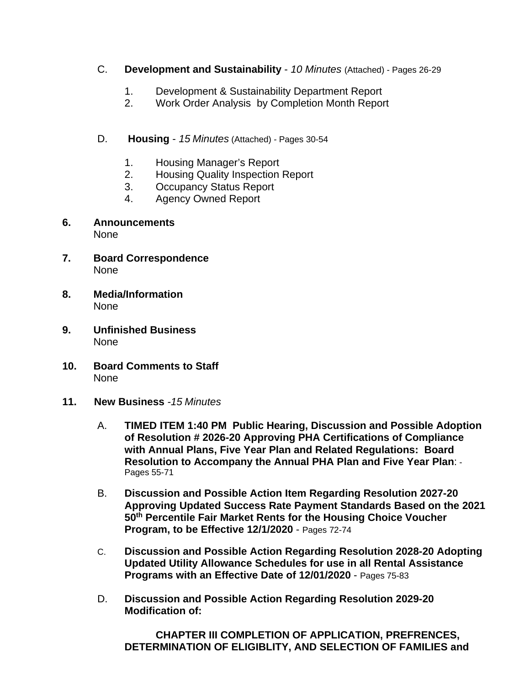- C. **Development and Sustainability** *10 Minutes* (Attached) Pages 26-29
	- 1. Development & Sustainability Department Report
	- 2. Work Order Analysis by Completion Month Report
- D. **Housing** *15 Minutes* (Attached) *-* Pages 30-54
	- 1. Housing Manager's Report
	- 2. Housing Quality Inspection Report
	- 3. Occupancy Status Report
	- 4. Agency Owned Report
- **6. Announcements**  None
- **7. Board Correspondence**  None
- **8. Media/Information**  None
- **9. Unfinished Business**  None
- **10. Board Comments to Staff**  None
- **11. New Business** *-15 Minutes* 
	- A. **TIMED ITEM 1:40 PM Public Hearing, Discussion and Possible Adoption of Resolution # 2026-20 Approving PHA Certifications of Compliance with Annual Plans, Five Year Plan and Related Regulations: Board Resolution to Accompany the Annual PHA Plan and Five Year Plan**: - Pages 55-71
	- B. **Discussion and Possible Action Item Regarding Resolution 2027-20 Approving Updated Success Rate Payment Standards Based on the 2021 50th Percentile Fair Market Rents for the Housing Choice Voucher Program, to be Effective 12/1/2020** - Pages 72-74
	- C. **Discussion and Possible Action Regarding Resolution 2028-20 Adopting Updated Utility Allowance Schedules for use in all Rental Assistance Programs with an Effective Date of 12/01/2020** - Pages 75-83
	- D. **Discussion and Possible Action Regarding Resolution 2029-20 Modification of:**

 **CHAPTER III COMPLETION OF APPLICATION, PREFRENCES, DETERMINATION OF ELIGIBLITY, AND SELECTION OF FAMILIES and**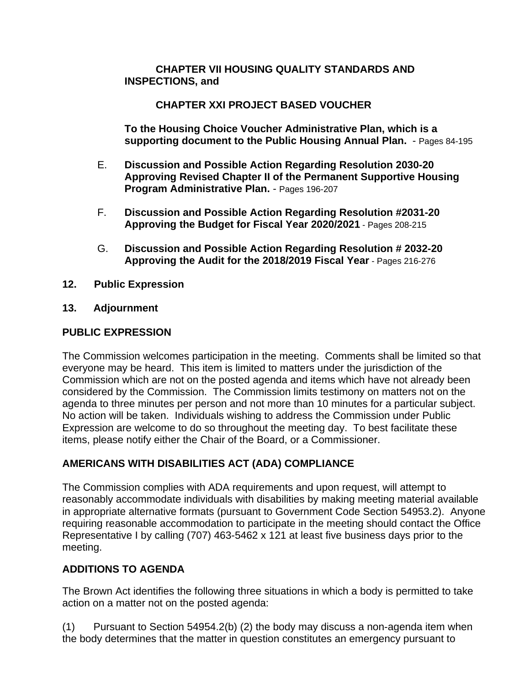#### **CHAPTER VII HOUSING QUALITY STANDARDS AND INSPECTIONS, and**

## **CHAPTER XXI PROJECT BASED VOUCHER**

 **To the Housing Choice Voucher Administrative Plan, which is a supporting document to the Public Housing Annual Plan.** - Pages 84-195

- E. **Discussion and Possible Action Regarding Resolution 2030-20 Approving Revised Chapter II of the Permanent Supportive Housing Program Administrative Plan.** - Pages 196-207
- F. **Discussion and Possible Action Regarding Resolution #2031-20 Approving the Budget for Fiscal Year 2020/2021** - Pages 208-215
- G. **Discussion and Possible Action Regarding Resolution # 2032-20 Approving the Audit for the 2018/2019 Fiscal Year** - Pages 216-276
- **12. Public Expression**
- **13. Adjournment**

## **PUBLIC EXPRESSION**

The Commission welcomes participation in the meeting. Comments shall be limited so that everyone may be heard. This item is limited to matters under the jurisdiction of the Commission which are not on the posted agenda and items which have not already been considered by the Commission. The Commission limits testimony on matters not on the agenda to three minutes per person and not more than 10 minutes for a particular subject. No action will be taken. Individuals wishing to address the Commission under Public Expression are welcome to do so throughout the meeting day. To best facilitate these items, please notify either the Chair of the Board, or a Commissioner.

## **AMERICANS WITH DISABILITIES ACT (ADA) COMPLIANCE**

The Commission complies with ADA requirements and upon request, will attempt to reasonably accommodate individuals with disabilities by making meeting material available in appropriate alternative formats (pursuant to Government Code Section 54953.2). Anyone requiring reasonable accommodation to participate in the meeting should contact the Office Representative I by calling (707) 463-5462 x 121 at least five business days prior to the meeting.

## **ADDITIONS TO AGENDA**

The Brown Act identifies the following three situations in which a body is permitted to take action on a matter not on the posted agenda:

(1) Pursuant to Section 54954.2(b) (2) the body may discuss a non-agenda item when the body determines that the matter in question constitutes an emergency pursuant to